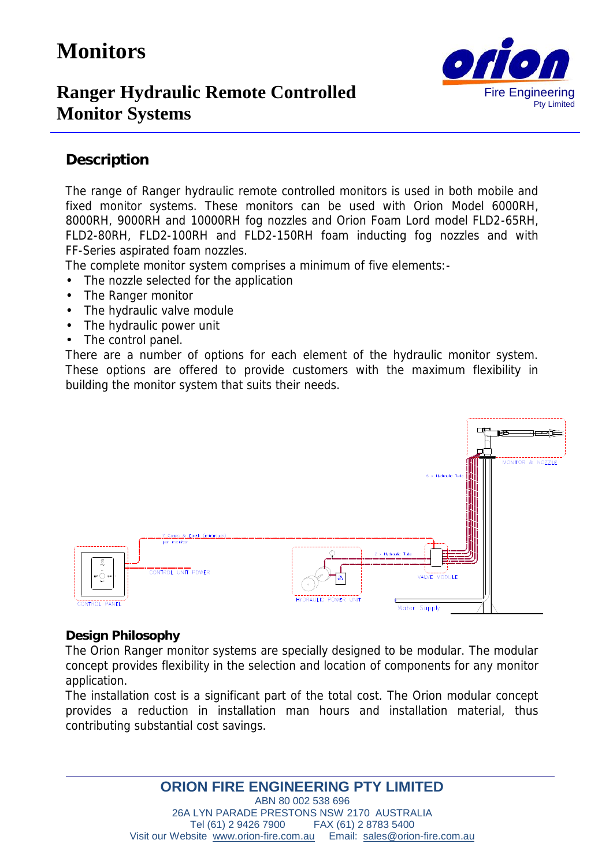# **Monitors**



## **Ranger Hydraulic Remote Controlled Monitor Systems**

### **Description**

The range of Ranger hydraulic remote controlled monitors is used in both mobile and fixed monitor systems. These monitors can be used with Orion Model 6000RH, 8000RH, 9000RH and 10000RH fog nozzles and Orion Foam Lord model FLD2-65RH, FLD2-80RH, FLD2-100RH and FLD2-150RH foam inducting fog nozzles and with FF-Series aspirated foam nozzles.

The complete monitor system comprises a minimum of five elements:-

- The nozzle selected for the application
- The Ranger monitor
- The hydraulic valve module
- The hydraulic power unit
- The control panel.

There are a number of options for each element of the hydraulic monitor system. These options are offered to provide customers with the maximum flexibility in building the monitor system that suits their needs.



#### **Design Philosophy**

The Orion Ranger monitor systems are specially designed to be modular. The modular concept provides flexibility in the selection and location of components for any monitor application.

The installation cost is a significant part of the total cost. The Orion modular concept provides a reduction in installation man hours and installation material, thus contributing substantial cost savings.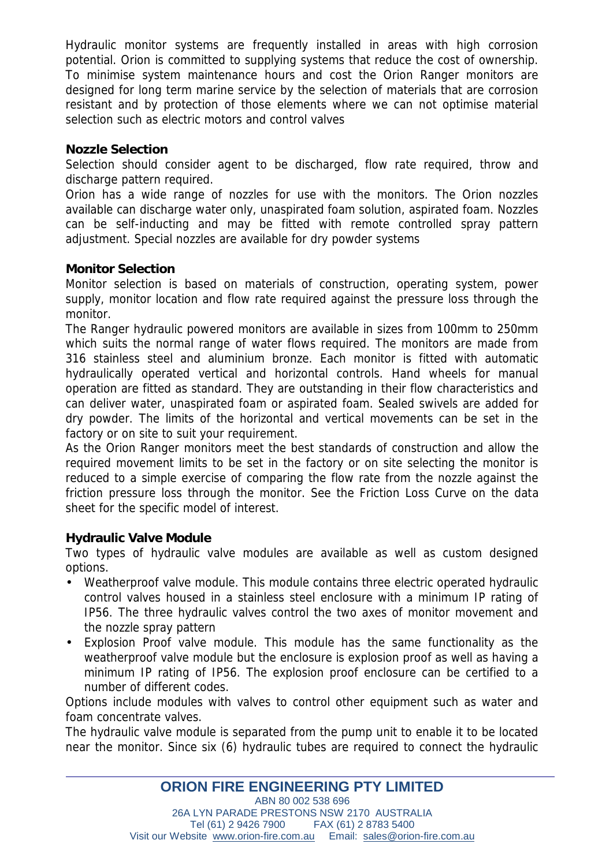Hydraulic monitor systems are frequently installed in areas with high corrosion potential. Orion is committed to supplying systems that reduce the cost of ownership. To minimise system maintenance hours and cost the Orion Ranger monitors are designed for long term marine service by the selection of materials that are corrosion resistant and by protection of those elements where we can not optimise material selection such as electric motors and control valves

#### **Nozzle Selection**

Selection should consider agent to be discharged, flow rate required, throw and discharge pattern required.

Orion has a wide range of nozzles for use with the monitors. The Orion nozzles available can discharge water only, unaspirated foam solution, aspirated foam. Nozzles can be self-inducting and may be fitted with remote controlled spray pattern adjustment. Special nozzles are available for dry powder systems

#### **Monitor Selection**

Monitor selection is based on materials of construction, operating system, power supply, monitor location and flow rate required against the pressure loss through the monitor.

The Ranger hydraulic powered monitors are available in sizes from 100mm to 250mm which suits the normal range of water flows required. The monitors are made from 316 stainless steel and aluminium bronze. Each monitor is fitted with automatic hydraulically operated vertical and horizontal controls. Hand wheels for manual operation are fitted as standard. They are outstanding in their flow characteristics and can deliver water, unaspirated foam or aspirated foam. Sealed swivels are added for dry powder. The limits of the horizontal and vertical movements can be set in the factory or on site to suit your requirement.

As the Orion Ranger monitors meet the best standards of construction and allow the required movement limits to be set in the factory or on site selecting the monitor is reduced to a simple exercise of comparing the flow rate from the nozzle against the friction pressure loss through the monitor. See the Friction Loss Curve on the data sheet for the specific model of interest.

#### **Hydraulic Valve Module**

Two types of hydraulic valve modules are available as well as custom designed options.

- Weatherproof valve module. This module contains three electric operated hydraulic control valves housed in a stainless steel enclosure with a minimum IP rating of IP56. The three hydraulic valves control the two axes of monitor movement and the nozzle spray pattern
- Explosion Proof valve module. This module has the same functionality as the weatherproof valve module but the enclosure is explosion proof as well as having a minimum IP rating of IP56. The explosion proof enclosure can be certified to a number of different codes.

Options include modules with valves to control other equipment such as water and foam concentrate valves.

The hydraulic valve module is separated from the pump unit to enable it to be located near the monitor. Since six (6) hydraulic tubes are required to connect the hydraulic